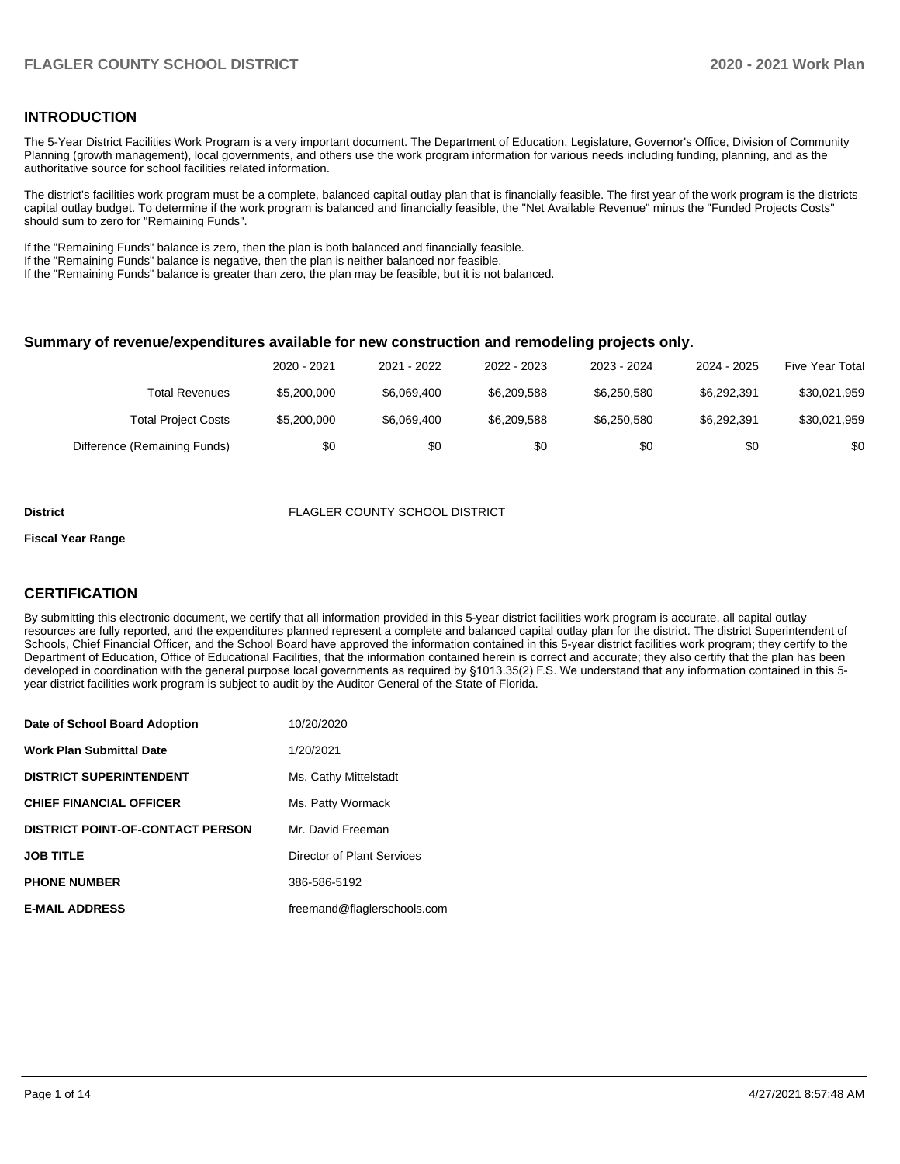### **INTRODUCTION**

The 5-Year District Facilities Work Program is a very important document. The Department of Education, Legislature, Governor's Office, Division of Community Planning (growth management), local governments, and others use the work program information for various needs including funding, planning, and as the authoritative source for school facilities related information.

The district's facilities work program must be a complete, balanced capital outlay plan that is financially feasible. The first year of the work program is the districts capital outlay budget. To determine if the work program is balanced and financially feasible, the "Net Available Revenue" minus the "Funded Projects Costs" should sum to zero for "Remaining Funds".

If the "Remaining Funds" balance is zero, then the plan is both balanced and financially feasible.

If the "Remaining Funds" balance is negative, then the plan is neither balanced nor feasible.

If the "Remaining Funds" balance is greater than zero, the plan may be feasible, but it is not balanced.

#### **Summary of revenue/expenditures available for new construction and remodeling projects only.**

|                              | 2020 - 2021 | 2021 - 2022 | 2022 - 2023 | 2023 - 2024 | 2024 - 2025 | <b>Five Year Total</b> |
|------------------------------|-------------|-------------|-------------|-------------|-------------|------------------------|
| Total Revenues               | \$5,200,000 | \$6,069,400 | \$6,209,588 | \$6,250,580 | \$6.292.391 | \$30,021,959           |
| <b>Total Project Costs</b>   | \$5,200,000 | \$6,069,400 | \$6,209,588 | \$6,250,580 | \$6.292.391 | \$30,021,959           |
| Difference (Remaining Funds) | \$0         | \$0         | \$0         | \$0         | \$0         | \$0                    |

#### **District** FLAGLER COUNTY SCHOOL DISTRICT

#### **Fiscal Year Range**

### **CERTIFICATION**

By submitting this electronic document, we certify that all information provided in this 5-year district facilities work program is accurate, all capital outlay resources are fully reported, and the expenditures planned represent a complete and balanced capital outlay plan for the district. The district Superintendent of Schools, Chief Financial Officer, and the School Board have approved the information contained in this 5-year district facilities work program; they certify to the Department of Education, Office of Educational Facilities, that the information contained herein is correct and accurate; they also certify that the plan has been developed in coordination with the general purpose local governments as required by §1013.35(2) F.S. We understand that any information contained in this 5 year district facilities work program is subject to audit by the Auditor General of the State of Florida.

| Date of School Board Adoption           | 10/20/2020                  |
|-----------------------------------------|-----------------------------|
| <b>Work Plan Submittal Date</b>         | 1/20/2021                   |
| <b>DISTRICT SUPERINTENDENT</b>          | Ms. Cathy Mittelstadt       |
| <b>CHIEF FINANCIAL OFFICER</b>          | Ms. Patty Wormack           |
| <b>DISTRICT POINT-OF-CONTACT PERSON</b> | Mr. David Freeman           |
| <b>JOB TITLE</b>                        | Director of Plant Services  |
| <b>PHONE NUMBER</b>                     | 386-586-5192                |
| <b>E-MAIL ADDRESS</b>                   | freemand@flaglerschools.com |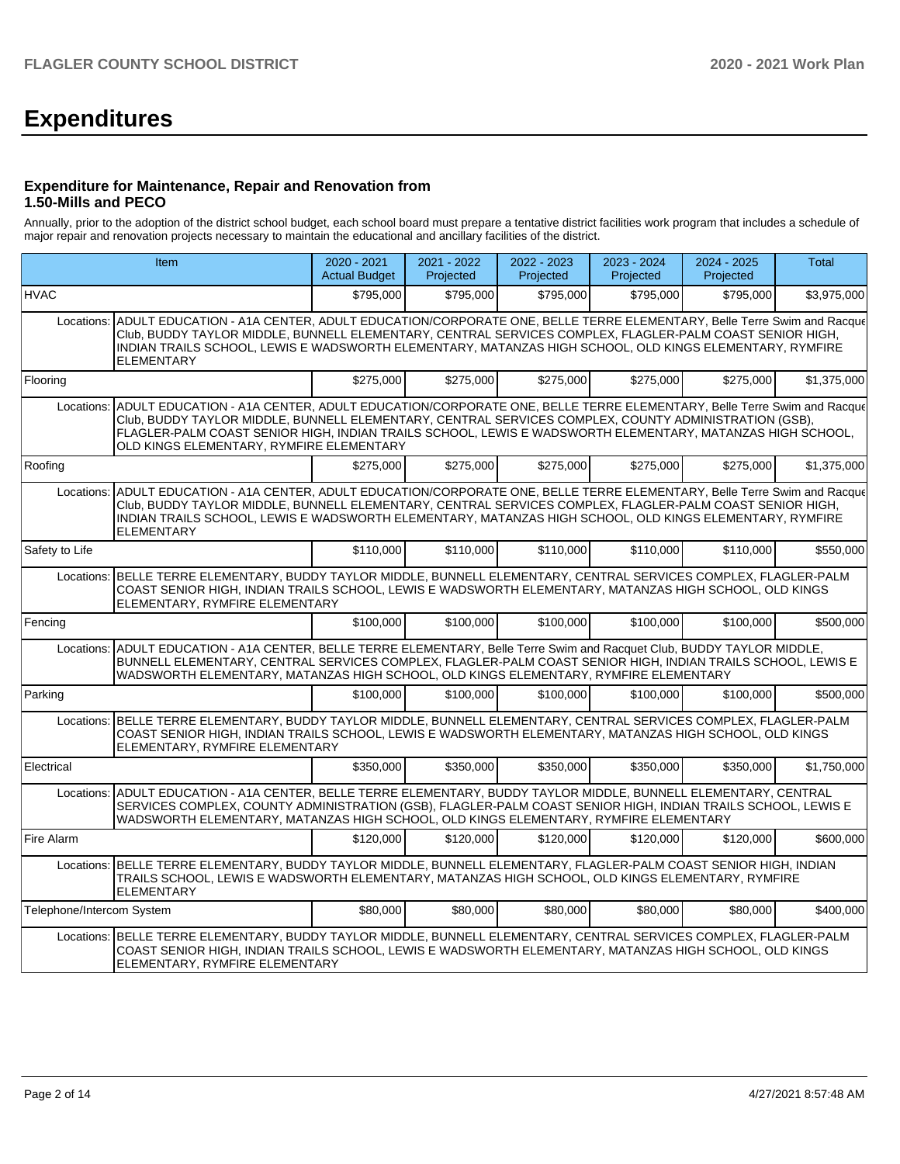# **Expenditures**

#### **Expenditure for Maintenance, Repair and Renovation from 1.50-Mills and PECO**

Annually, prior to the adoption of the district school budget, each school board must prepare a tentative district facilities work program that includes a schedule of major repair and renovation projects necessary to maintain the educational and ancillary facilities of the district.

|                           | <b>Item</b>                                                                                                                                                                                                                                                                                                                                                                                   |           | $2021 - 2022$<br>Projected | 2022 - 2023<br>Projected | 2023 - 2024<br>Projected | $2024 - 2025$<br>Projected | <b>Total</b> |  |  |  |
|---------------------------|-----------------------------------------------------------------------------------------------------------------------------------------------------------------------------------------------------------------------------------------------------------------------------------------------------------------------------------------------------------------------------------------------|-----------|----------------------------|--------------------------|--------------------------|----------------------------|--------------|--|--|--|
| <b>HVAC</b>               |                                                                                                                                                                                                                                                                                                                                                                                               | \$795.000 | \$795,000                  | \$795,000                | \$795,000                | \$795.000                  | \$3,975,000  |  |  |  |
| Locations:                | ADULT EDUCATION - A1A CENTER, ADULT EDUCATION/CORPORATE ONE, BELLE TERRE ELEMENTARY, Belle Terre Swim and Racque<br>Club, BUDDY TAYLOR MIDDLE, BUNNELL ELEMENTARY, CENTRAL SERVICES COMPLEX, FLAGLER-PALM COAST SENIOR HIGH,<br>INDIAN TRAILS SCHOOL, LEWIS E WADSWORTH ELEMENTARY, MATANZAS HIGH SCHOOL, OLD KINGS ELEMENTARY, RYMFIRE<br><b>ELEMENTARY</b>                                  |           |                            |                          |                          |                            |              |  |  |  |
| Flooring                  |                                                                                                                                                                                                                                                                                                                                                                                               | \$275,000 | \$275,000                  | \$275,000                | \$275.000                | \$275,000                  | \$1,375,000  |  |  |  |
|                           | Locations: ADULT EDUCATION - A1A CENTER, ADULT EDUCATION/CORPORATE ONE, BELLE TERRE ELEMENTARY, Belle Terre Swim and Racque<br>Club, BUDDY TAYLOR MIDDLE, BUNNELL ELEMENTARY, CENTRAL SERVICES COMPLEX, COUNTY ADMINISTRATION (GSB),<br>FLAGLER-PALM COAST SENIOR HIGH, INDIAN TRAILS SCHOOL, LEWIS E WADSWORTH ELEMENTARY, MATANZAS HIGH SCHOOL,<br>OLD KINGS ELEMENTARY, RYMFIRE ELEMENTARY |           |                            |                          |                          |                            |              |  |  |  |
| Roofing                   |                                                                                                                                                                                                                                                                                                                                                                                               | \$275,000 | \$275,000                  | \$275,000                | \$275,000                | \$275,000                  | \$1,375,000  |  |  |  |
| Locations:                | ADULT EDUCATION - A1A CENTER, ADULT EDUCATION/CORPORATE ONE, BELLE TERRE ELEMENTARY, Belle Terre Swim and Racque<br>Club, BUDDY TAYLOR MIDDLE, BUNNELL ELEMENTARY, CENTRAL SERVICES COMPLEX, FLAGLER-PALM COAST SENIOR HIGH,<br>INDIAN TRAILS SCHOOL, LEWIS E WADSWORTH ELEMENTARY, MATANZAS HIGH SCHOOL, OLD KINGS ELEMENTARY, RYMFIRE<br><b>ELEMENTARY</b>                                  |           |                            |                          |                          |                            |              |  |  |  |
| Safety to Life            |                                                                                                                                                                                                                                                                                                                                                                                               | \$110.000 | \$110,000                  | \$110.000                | \$110.000                | \$110,000                  | \$550,000    |  |  |  |
| Locations:                | BELLE TERRE ELEMENTARY, BUDDY TAYLOR MIDDLE, BUNNELL ELEMENTARY, CENTRAL SERVICES COMPLEX, FLAGLER-PALM<br>COAST SENIOR HIGH, INDIAN TRAILS SCHOOL, LEWIS E WADSWORTH ELEMENTARY, MATANZAS HIGH SCHOOL, OLD KINGS<br>ELEMENTARY, RYMFIRE ELEMENTARY                                                                                                                                           |           |                            |                          |                          |                            |              |  |  |  |
| Fencing                   |                                                                                                                                                                                                                                                                                                                                                                                               | \$100,000 | \$100,000                  | \$100,000                | \$100,000                | \$100,000                  | \$500,000    |  |  |  |
| Locations:                | ADULT EDUCATION - A1A CENTER, BELLE TERRE ELEMENTARY, Belle Terre Swim and Racquet Club, BUDDY TAYLOR MIDDLE,<br>BUNNELL ELEMENTARY, CENTRAL SERVICES COMPLEX, FLAGLER-PALM COAST SENIOR HIGH, INDIAN TRAILS SCHOOL, LEWIS E<br>WADSWORTH ELEMENTARY, MATANZAS HIGH SCHOOL, OLD KINGS ELEMENTARY, RYMFIRE ELEMENTARY                                                                          |           |                            |                          |                          |                            |              |  |  |  |
| Parking                   |                                                                                                                                                                                                                                                                                                                                                                                               | \$100,000 | \$100.000                  | \$100,000                | \$100,000                | \$100.000                  | \$500,000    |  |  |  |
| Locations:                | BELLE TERRE ELEMENTARY, BUDDY TAYLOR MIDDLE, BUNNELL ELEMENTARY, CENTRAL SERVICES COMPLEX, FLAGLER-PALM<br>COAST SENIOR HIGH, INDIAN TRAILS SCHOOL, LEWIS E WADSWORTH ELEMENTARY, MATANZAS HIGH SCHOOL, OLD KINGS<br>ELEMENTARY, RYMFIRE ELEMENTARY                                                                                                                                           |           |                            |                          |                          |                            |              |  |  |  |
| Electrical                |                                                                                                                                                                                                                                                                                                                                                                                               | \$350,000 | \$350,000                  | \$350,000                | \$350,000                | \$350,000                  | \$1,750,000  |  |  |  |
| Locations:                | ADULT EDUCATION - A1A CENTER, BELLE TERRE ELEMENTARY, BUDDY TAYLOR MIDDLE, BUNNELL ELEMENTARY, CENTRAL<br>SERVICES COMPLEX, COUNTY ADMINISTRATION (GSB), FLAGLER-PALM COAST SENIOR HIGH, INDIAN TRAILS SCHOOL, LEWIS E<br>WADSWORTH ELEMENTARY, MATANZAS HIGH SCHOOL, OLD KINGS ELEMENTARY, RYMFIRE ELEMENTARY                                                                                |           |                            |                          |                          |                            |              |  |  |  |
| Fire Alarm                |                                                                                                                                                                                                                                                                                                                                                                                               | \$120,000 | \$120,000                  | \$120,000                | \$120,000                | \$120.000                  | \$600,000    |  |  |  |
|                           | Locations: BELLE TERRE ELEMENTARY, BUDDY TAYLOR MIDDLE, BUNNELL ELEMENTARY, FLAGLER-PALM COAST SENIOR HIGH, INDIAN<br>TRAILS SCHOOL, LEWIS E WADSWORTH ELEMENTARY, MATANZAS HIGH SCHOOL, OLD KINGS ELEMENTARY, RYMFIRE<br><b>ELEMENTARY</b>                                                                                                                                                   |           |                            |                          |                          |                            |              |  |  |  |
| Telephone/Intercom System |                                                                                                                                                                                                                                                                                                                                                                                               | \$80,000  | \$80,000                   | \$80,000                 | \$80,000                 | \$80,000                   | \$400,000    |  |  |  |
|                           | Locations: BELLE TERRE ELEMENTARY, BUDDY TAYLOR MIDDLE, BUNNELL ELEMENTARY, CENTRAL SERVICES COMPLEX, FLAGLER-PALM<br>COAST SENIOR HIGH, INDIAN TRAILS SCHOOL, LEWIS E WADSWORTH ELEMENTARY, MATANZAS HIGH SCHOOL, OLD KINGS<br>ELEMENTARY, RYMFIRE ELEMENTARY                                                                                                                                |           |                            |                          |                          |                            |              |  |  |  |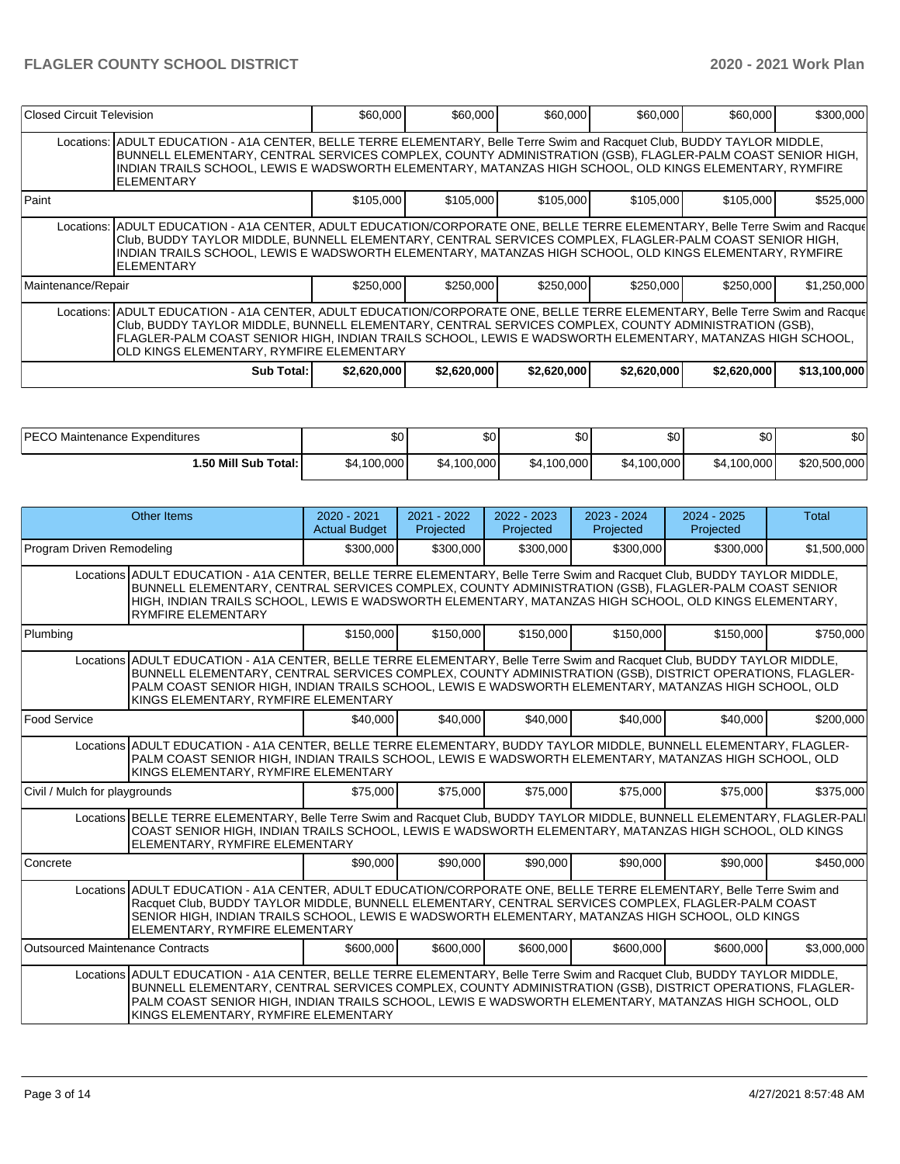| Closed Circuit Television |                                                                                                                                                                                                                                                                                                                                                                                               | \$60,000    | \$60,000    | \$60,000    | \$60,000    | \$60,000    | \$300,000    |  |  |  |  |
|---------------------------|-----------------------------------------------------------------------------------------------------------------------------------------------------------------------------------------------------------------------------------------------------------------------------------------------------------------------------------------------------------------------------------------------|-------------|-------------|-------------|-------------|-------------|--------------|--|--|--|--|
|                           | Locations: ADULT EDUCATION - A1A CENTER, BELLE TERRE ELEMENTARY, Belle Terre Swim and Racquet Club, BUDDY TAYLOR MIDDLE,<br>BUNNELL ELEMENTARY, CENTRAL SERVICES COMPLEX, COUNTY ADMINISTRATION (GSB), FLAGLER-PALM COAST SENIOR HIGH,<br>INDIAN TRAILS SCHOOL, LEWIS E WADSWORTH ELEMENTARY, MATANZAS HIGH SCHOOL, OLD KINGS ELEMENTARY, RYMFIRE<br><b>ELEMENTARY</b>                        |             |             |             |             |             |              |  |  |  |  |
| Paint                     |                                                                                                                                                                                                                                                                                                                                                                                               | \$105,000   | \$105,000   | \$105,000   | \$105,000   | \$105,000   | \$525,000    |  |  |  |  |
|                           | Locations: ADULT EDUCATION - A1A CENTER, ADULT EDUCATION/CORPORATE ONE, BELLE TERRE ELEMENTARY, Belle Terre Swim and Racque<br>Club, BUDDY TAYLOR MIDDLE, BUNNELL ELEMENTARY, CENTRAL SERVICES COMPLEX, FLAGLER-PALM COAST SENIOR HIGH,<br>INDIAN TRAILS SCHOOL, LEWIS E WADSWORTH ELEMENTARY, MATANZAS HIGH SCHOOL, OLD KINGS ELEMENTARY, RYMFIRE<br><b>ELEMENTARY</b>                       |             |             |             |             |             |              |  |  |  |  |
| Maintenance/Repair        |                                                                                                                                                                                                                                                                                                                                                                                               | \$250,000   | \$250,000   | \$250,000   | \$250,000   | \$250,000   | \$1,250,000  |  |  |  |  |
|                           | Locations: ADULT EDUCATION - A1A CENTER, ADULT EDUCATION/CORPORATE ONE, BELLE TERRE ELEMENTARY, Belle Terre Swim and Racque<br>Club, BUDDY TAYLOR MIDDLE, BUNNELL ELEMENTARY, CENTRAL SERVICES COMPLEX, COUNTY ADMINISTRATION (GSB),<br>FLAGLER-PALM COAST SENIOR HIGH, INDIAN TRAILS SCHOOL, LEWIS E WADSWORTH ELEMENTARY, MATANZAS HIGH SCHOOL,<br>OLD KINGS ELEMENTARY, RYMFIRE ELEMENTARY |             |             |             |             |             |              |  |  |  |  |
|                           | Sub Total:                                                                                                                                                                                                                                                                                                                                                                                    | \$2,620,000 | \$2,620,000 | \$2,620,000 | \$2,620,000 | \$2,620,000 | \$13,100,000 |  |  |  |  |

| <b>PECO Maintenance Expenditures</b> | \$0         | \$0         | ΦO<br>υU    | \$0         | \$0         | \$0          |
|--------------------------------------|-------------|-------------|-------------|-------------|-------------|--------------|
| ا :50 Mill Sub Total.                | \$4,100,000 | \$4,100,000 | \$4.100,000 | \$4,100,000 | \$4,100,000 | \$20,500,000 |

| <b>Other Items</b>               |                                                                                                                                                                                                                                                                                                                                                                                      | 2020 - 2021<br><b>Actual Budget</b> | 2021 - 2022<br>Projected | 2022 - 2023<br>Projected | 2023 - 2024<br>Projected | $2024 - 2025$<br>Projected | <b>Total</b> |  |  |  |
|----------------------------------|--------------------------------------------------------------------------------------------------------------------------------------------------------------------------------------------------------------------------------------------------------------------------------------------------------------------------------------------------------------------------------------|-------------------------------------|--------------------------|--------------------------|--------------------------|----------------------------|--------------|--|--|--|
| Program Driven Remodeling        |                                                                                                                                                                                                                                                                                                                                                                                      | \$300,000                           | \$300,000                | \$300,000                | \$300,000                | \$300,000                  | \$1,500,000  |  |  |  |
|                                  | Locations ADULT EDUCATION - A1A CENTER, BELLE TERRE ELEMENTARY, Belle Terre Swim and Racquet Club, BUDDY TAYLOR MIDDLE,<br>BUNNELL ELEMENTARY, CENTRAL SERVICES COMPLEX, COUNTY ADMINISTRATION (GSB), FLAGLER-PALM COAST SENIOR<br>HIGH, INDIAN TRAILS SCHOOL, LEWIS E WADSWORTH ELEMENTARY, MATANZAS HIGH SCHOOL, OLD KINGS ELEMENTARY,<br><b>RYMFIRE ELEMENTARY</b>                |                                     |                          |                          |                          |                            |              |  |  |  |
| Plumbing                         |                                                                                                                                                                                                                                                                                                                                                                                      | \$150,000                           | \$150,000                | \$150,000                | \$150,000                | \$150,000                  | \$750,000    |  |  |  |
|                                  | Locations ADULT EDUCATION - A1A CENTER, BELLE TERRE ELEMENTARY, Belle Terre Swim and Racquet Club, BUDDY TAYLOR MIDDLE,<br>BUNNELL ELEMENTARY, CENTRAL SERVICES COMPLEX, COUNTY ADMINISTRATION (GSB), DISTRICT OPERATIONS, FLAGLER-<br>PALM COAST SENIOR HIGH, INDIAN TRAILS SCHOOL, LEWIS E WADSWORTH ELEMENTARY, MATANZAS HIGH SCHOOL, OLD<br>KINGS ELEMENTARY, RYMFIRE ELEMENTARY |                                     |                          |                          |                          |                            |              |  |  |  |
| Food Service                     |                                                                                                                                                                                                                                                                                                                                                                                      | \$40,000                            | \$40,000                 | \$40,000                 | \$40,000                 | \$40,000                   | \$200,000    |  |  |  |
|                                  | Locations ADULT EDUCATION - A1A CENTER, BELLE TERRE ELEMENTARY, BUDDY TAYLOR MIDDLE, BUNNELL ELEMENTARY, FLAGLER-<br>PALM COAST SENIOR HIGH, INDIAN TRAILS SCHOOL, LEWIS E WADSWORTH ELEMENTARY, MATANZAS HIGH SCHOOL, OLD<br>KINGS ELEMENTARY, RYMFIRE ELEMENTARY                                                                                                                   |                                     |                          |                          |                          |                            |              |  |  |  |
| Civil / Mulch for playgrounds    |                                                                                                                                                                                                                                                                                                                                                                                      | \$75,000                            | \$75,000                 | \$75,000                 | \$75,000                 | \$75,000                   | \$375,000    |  |  |  |
|                                  | Locations BELLE TERRE ELEMENTARY, Belle Terre Swim and Racquet Club, BUDDY TAYLOR MIDDLE, BUNNELL ELEMENTARY, FLAGLER-PALI<br>COAST SENIOR HIGH, INDIAN TRAILS SCHOOL, LEWIS E WADSWORTH ELEMENTARY, MATANZAS HIGH SCHOOL, OLD KINGS<br>ELEMENTARY, RYMFIRE ELEMENTARY                                                                                                               |                                     |                          |                          |                          |                            |              |  |  |  |
| Concrete                         |                                                                                                                                                                                                                                                                                                                                                                                      | \$90,000                            | \$90,000                 | \$90,000                 | \$90,000                 | \$90,000                   | \$450,000    |  |  |  |
|                                  | Locations ADULT EDUCATION - A1A CENTER, ADULT EDUCATION/CORPORATE ONE, BELLE TERRE ELEMENTARY, Belle Terre Swim and<br>Racquet Club, BUDDY TAYLOR MIDDLE, BUNNELL ELEMENTARY, CENTRAL SERVICES COMPLEX, FLAGLER-PALM COAST<br>SENIOR HIGH, INDIAN TRAILS SCHOOL, LEWIS E WADSWORTH ELEMENTARY, MATANZAS HIGH SCHOOL, OLD KINGS<br>ELEMENTARY, RYMFIRE ELEMENTARY                     |                                     |                          |                          |                          |                            |              |  |  |  |
| Outsourced Maintenance Contracts |                                                                                                                                                                                                                                                                                                                                                                                      | \$600,000                           | \$600,000                | \$600,000                | \$600,000                | \$600,000                  | \$3,000,000  |  |  |  |
|                                  | Locations ADULT EDUCATION - A1A CENTER, BELLE TERRE ELEMENTARY, Belle Terre Swim and Racquet Club, BUDDY TAYLOR MIDDLE,<br>BUNNELL ELEMENTARY, CENTRAL SERVICES COMPLEX, COUNTY ADMINISTRATION (GSB), DISTRICT OPERATIONS, FLAGLER-<br>PALM COAST SENIOR HIGH, INDIAN TRAILS SCHOOL, LEWIS E WADSWORTH ELEMENTARY, MATANZAS HIGH SCHOOL, OLD<br>KINGS ELEMENTARY, RYMFIRE ELEMENTARY |                                     |                          |                          |                          |                            |              |  |  |  |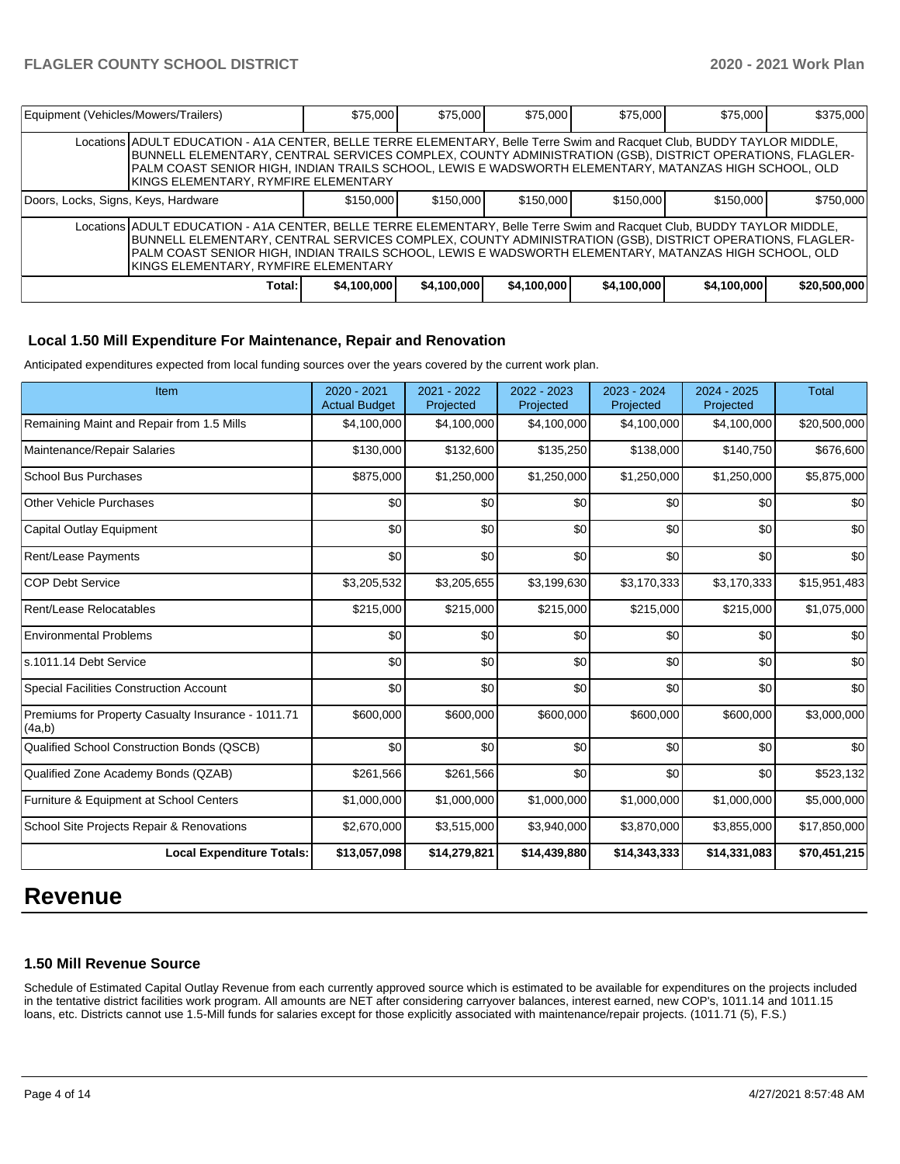| Equipment (Vehicles/Mowers/Trailers)                                                                                                                                                                                                                                                                                                                                                 |                                                                                                                                                                                                                                                                                                                                                                                      | \$75,000    | \$75,000    | \$75,000    | \$75,000    | \$75,000    | \$375,000    |  |  |
|--------------------------------------------------------------------------------------------------------------------------------------------------------------------------------------------------------------------------------------------------------------------------------------------------------------------------------------------------------------------------------------|--------------------------------------------------------------------------------------------------------------------------------------------------------------------------------------------------------------------------------------------------------------------------------------------------------------------------------------------------------------------------------------|-------------|-------------|-------------|-------------|-------------|--------------|--|--|
|                                                                                                                                                                                                                                                                                                                                                                                      | Locations ADULT EDUCATION - A1A CENTER, BELLE TERRE ELEMENTARY, Belle Terre Swim and Racquet Club, BUDDY TAYLOR MIDDLE,<br>BUNNELL ELEMENTARY, CENTRAL SERVICES COMPLEX, COUNTY ADMINISTRATION (GSB), DISTRICT OPERATIONS, FLAGLER-<br>PALM COAST SENIOR HIGH, INDIAN TRAILS SCHOOL, LEWIS E WADSWORTH ELEMENTARY, MATANZAS HIGH SCHOOL, OLD<br>KINGS ELEMENTARY, RYMFIRE ELEMENTARY |             |             |             |             |             |              |  |  |
| Doors, Locks, Signs, Keys, Hardware                                                                                                                                                                                                                                                                                                                                                  |                                                                                                                                                                                                                                                                                                                                                                                      | \$150,000   | \$150,000   | \$150,000   | \$150,000   | \$150,000   | \$750,000    |  |  |
| Locations ADULT EDUCATION - A1A CENTER, BELLE TERRE ELEMENTARY, Belle Terre Swim and Racquet Club, BUDDY TAYLOR MIDDLE,<br>BUNNELL ELEMENTARY, CENTRAL SERVICES COMPLEX, COUNTY ADMINISTRATION (GSB), DISTRICT OPERATIONS, FLAGLER-<br>PALM COAST SENIOR HIGH, INDIAN TRAILS SCHOOL, LEWIS E WADSWORTH ELEMENTARY, MATANZAS HIGH SCHOOL, OLD<br>KINGS ELEMENTARY, RYMFIRE ELEMENTARY |                                                                                                                                                                                                                                                                                                                                                                                      |             |             |             |             |             |              |  |  |
|                                                                                                                                                                                                                                                                                                                                                                                      | Total:                                                                                                                                                                                                                                                                                                                                                                               | \$4,100,000 | \$4,100,000 | \$4,100,000 | \$4,100,000 | \$4,100,000 | \$20,500,000 |  |  |

### **Local 1.50 Mill Expenditure For Maintenance, Repair and Renovation**

Anticipated expenditures expected from local funding sources over the years covered by the current work plan.

| Item                                                         | 2020 - 2021<br><b>Actual Budget</b> | 2021 - 2022<br>Projected | 2022 - 2023<br>Projected | 2023 - 2024<br>Projected | 2024 - 2025<br>Projected | <b>Total</b> |
|--------------------------------------------------------------|-------------------------------------|--------------------------|--------------------------|--------------------------|--------------------------|--------------|
| Remaining Maint and Repair from 1.5 Mills                    | \$4,100,000                         | \$4,100,000              | \$4,100,000              | \$4,100,000              | \$4,100,000              | \$20,500,000 |
| Maintenance/Repair Salaries                                  | \$130,000                           | \$132,600                | \$135,250                | \$138,000                | \$140,750                | \$676,600    |
| <b>School Bus Purchases</b>                                  | \$875,000                           | \$1,250,000              | \$1,250,000              | \$1,250,000              | \$1,250,000              | \$5,875,000  |
| <b>Other Vehicle Purchases</b>                               | \$0                                 | \$0                      | \$0                      | \$0                      | \$0                      | \$0          |
| <b>Capital Outlay Equipment</b>                              | \$0                                 | \$0                      | \$0                      | \$0                      | \$0                      | \$0          |
| Rent/Lease Payments                                          | \$0                                 | \$0                      | \$0                      | \$0                      | \$0                      | \$0          |
| <b>COP Debt Service</b>                                      | \$3,205,532                         | \$3,205,655              | \$3,199,630              | \$3,170,333              | \$3,170,333              | \$15,951,483 |
| Rent/Lease Relocatables                                      | \$215,000                           | \$215,000                | \$215,000                | \$215,000                | \$215,000                | \$1,075,000  |
| <b>Environmental Problems</b>                                | \$0                                 | \$0                      | \$0                      | \$0                      | \$0                      | \$0          |
| ls.1011.14 Debt Service                                      | \$0                                 | \$0                      | \$0                      | \$0                      | \$0                      | \$0          |
| Special Facilities Construction Account                      | \$0                                 | \$0                      | \$0                      | \$0                      | \$0                      | \$0          |
| Premiums for Property Casualty Insurance - 1011.71<br>(4a,b) | \$600,000                           | \$600,000                | \$600,000                | \$600,000                | \$600,000                | \$3,000,000  |
| Qualified School Construction Bonds (QSCB)                   | \$0                                 | \$0                      | \$0                      | \$0                      | \$0                      | \$0          |
| Qualified Zone Academy Bonds (QZAB)                          | \$261,566                           | \$261,566                | \$0                      | \$0                      | \$0                      | \$523,132    |
| Furniture & Equipment at School Centers                      | \$1,000,000                         | \$1,000,000              | \$1,000,000              | \$1,000,000              | \$1,000,000              | \$5,000,000  |
| School Site Projects Repair & Renovations                    | \$2,670,000                         | \$3,515,000              | \$3,940,000              | \$3,870,000              | \$3,855,000              | \$17,850,000 |
| <b>Local Expenditure Totals:</b>                             | \$13,057,098                        | \$14,279,821             | \$14,439,880             | \$14,343,333             | \$14,331,083             | \$70,451,215 |

# **Revenue**

#### **1.50 Mill Revenue Source**

Schedule of Estimated Capital Outlay Revenue from each currently approved source which is estimated to be available for expenditures on the projects included in the tentative district facilities work program. All amounts are NET after considering carryover balances, interest earned, new COP's, 1011.14 and 1011.15 loans, etc. Districts cannot use 1.5-Mill funds for salaries except for those explicitly associated with maintenance/repair projects. (1011.71 (5), F.S.)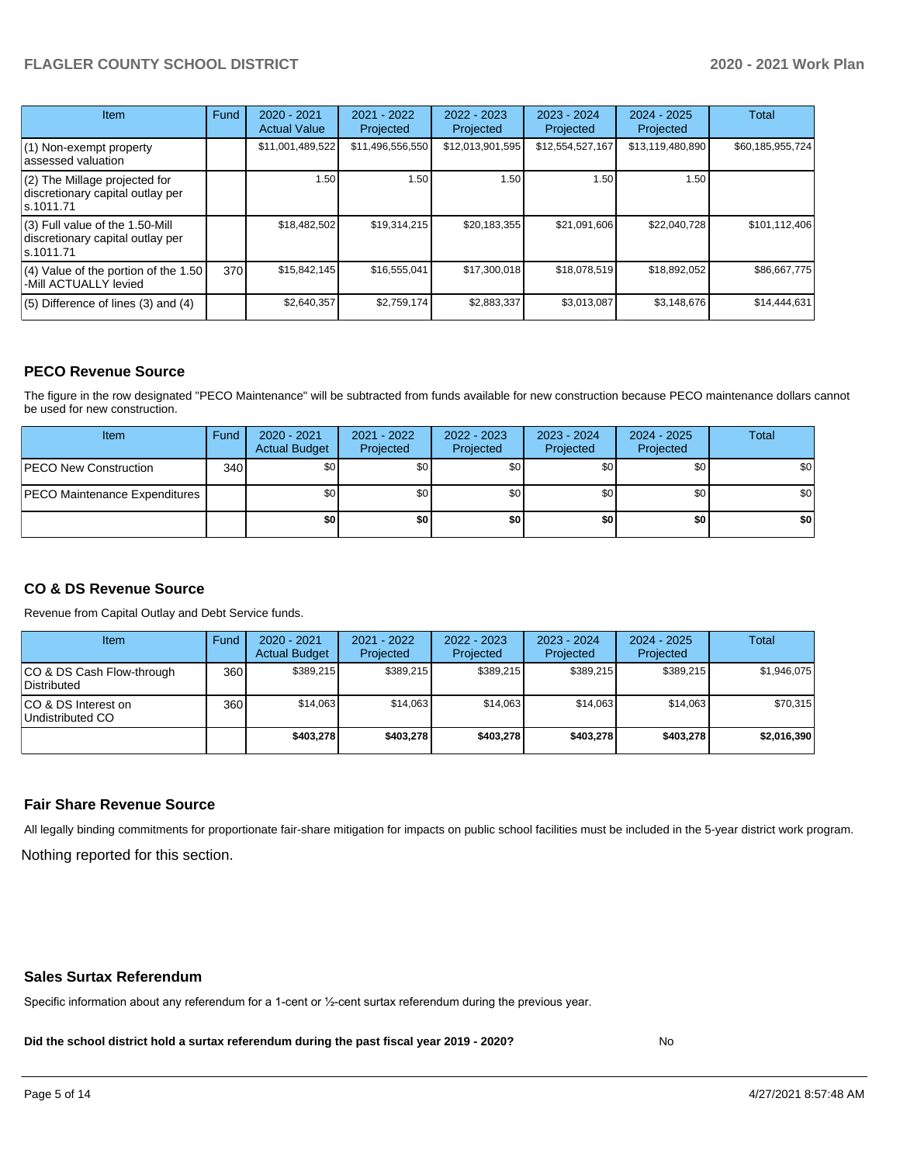# **FLAGLER COUNTY SCHOOL DISTRICT 2020 - 2021 Work Plan**

| <b>Item</b>                                                                       | Fund | $2020 - 2021$<br><b>Actual Value</b> | $2021 - 2022$<br>Projected | $2022 - 2023$<br>Projected | $2023 - 2024$<br>Projected | $2024 - 2025$<br>Projected | Total            |
|-----------------------------------------------------------------------------------|------|--------------------------------------|----------------------------|----------------------------|----------------------------|----------------------------|------------------|
| (1) Non-exempt property<br>lassessed valuation                                    |      | \$11,001,489,522                     | \$11,496,556,550           | \$12,013,901,595           | \$12,554,527,167           | \$13,119,480,890           | \$60,185,955,724 |
| (2) The Millage projected for<br>discretionary capital outlay per<br>ls.1011.71   |      | 1.50                                 | 1.50                       | 1.50                       | 1.50                       | 1.50                       |                  |
| (3) Full value of the 1.50-Mill<br>discretionary capital outlay per<br>ls.1011.71 |      | \$18,482,502                         | \$19,314,215               | \$20,183,355               | \$21,091,606               | \$22,040,728               | \$101,112,406    |
| $(4)$ Value of the portion of the 1.50<br>-Mill ACTUALLY levied                   | 370I | \$15,842,145                         | \$16,555,041               | \$17,300,018               | \$18,078,519               | \$18,892,052               | \$86,667,775     |
| $(5)$ Difference of lines $(3)$ and $(4)$                                         |      | \$2,640,357                          | \$2,759,174                | \$2,883,337                | \$3,013,087                | \$3,148,676                | \$14,444,631     |

#### **PECO Revenue Source**

The figure in the row designated "PECO Maintenance" will be subtracted from funds available for new construction because PECO maintenance dollars cannot be used for new construction.

| <b>Item</b>                          | Fund         | 2020 - 2021<br><b>Actual Budget</b> | 2021 - 2022<br>Projected | 2022 - 2023<br>Projected | 2023 - 2024<br>Projected | 2024 - 2025<br>Projected | Total            |
|--------------------------------------|--------------|-------------------------------------|--------------------------|--------------------------|--------------------------|--------------------------|------------------|
| <b>IPECO New Construction</b>        | 340 <b>I</b> | \$0                                 | \$0 <sub>1</sub>         | \$0                      | \$0 <sub>1</sub>         | \$0                      | \$0 <sub>1</sub> |
| <b>PECO Maintenance Expenditures</b> |              | \$0 I                               | \$0 <sub>1</sub>         | \$0                      | \$0 <sub>1</sub>         | \$0                      | \$0              |
|                                      |              | \$0                                 | \$0                      | \$0                      | \$0                      | \$0                      | \$0              |

### **CO & DS Revenue Source**

Revenue from Capital Outlay and Debt Service funds.

| Item                                      | Fund | $2020 - 2021$<br><b>Actual Budget</b> | 2021 - 2022<br>Projected | 2022 - 2023<br>Projected | $2023 - 2024$<br>Projected | $2024 - 2025$<br>Projected | Total       |
|-------------------------------------------|------|---------------------------------------|--------------------------|--------------------------|----------------------------|----------------------------|-------------|
| ICO & DS Cash Flow-through<br>Distributed | 360  | \$389.215                             | \$389.215                | \$389.215                | \$389.215                  | \$389.215                  | \$1,946,075 |
| ICO & DS Interest on<br>Undistributed CO  | 360  | \$14.063                              | \$14.063                 | \$14.063                 | \$14.063                   | \$14.063                   | \$70,315    |
|                                           |      | \$403.278                             | \$403.278                | \$403.278                | \$403.278                  | \$403.278                  | \$2,016,390 |

#### **Fair Share Revenue Source**

Nothing reported for this section. All legally binding commitments for proportionate fair-share mitigation for impacts on public school facilities must be included in the 5-year district work program.

#### **Sales Surtax Referendum**

Specific information about any referendum for a 1-cent or ½-cent surtax referendum during the previous year.

**Did the school district hold a surtax referendum during the past fiscal year 2019 - 2020?**

No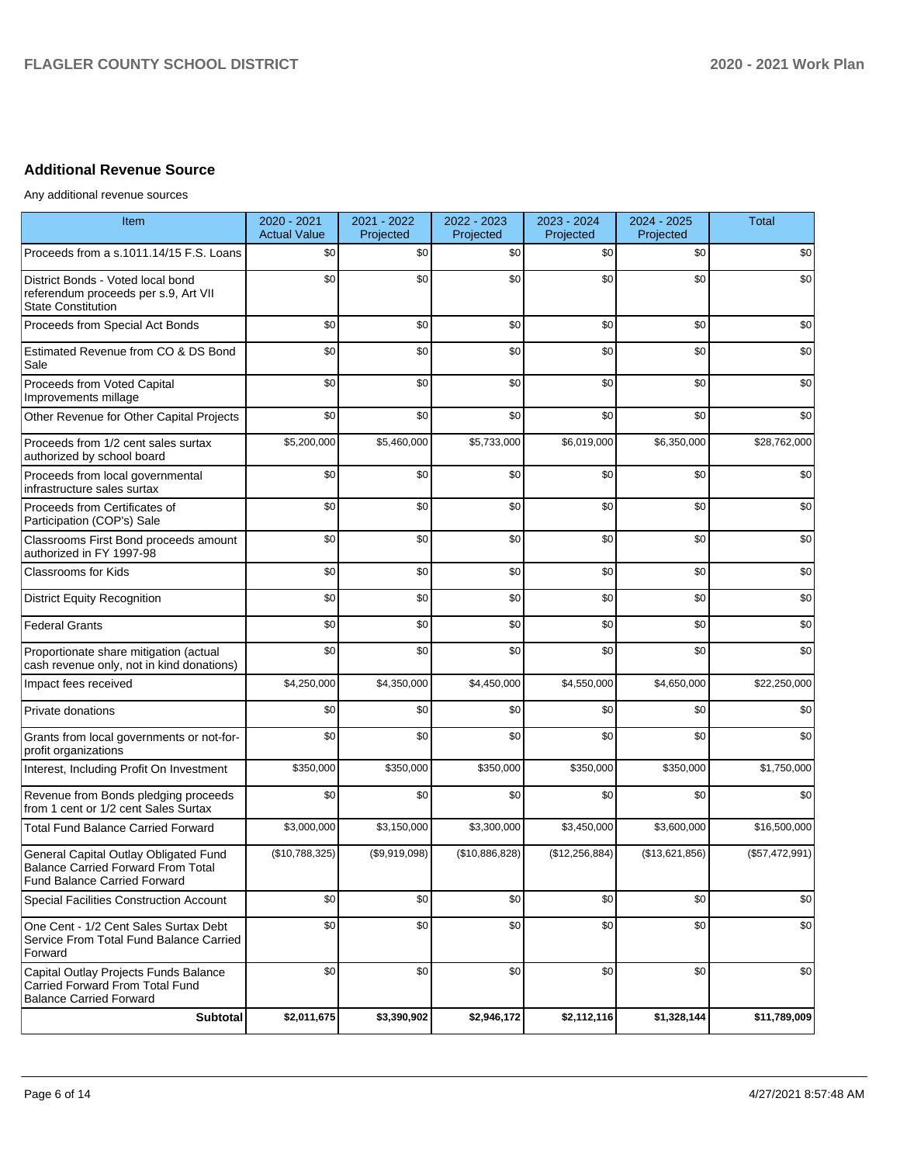# **Additional Revenue Source**

Any additional revenue sources

| Item                                                                                                        | 2020 - 2021<br><b>Actual Value</b> | 2021 - 2022<br>Projected | 2022 - 2023<br>Projected | 2023 - 2024<br>Projected | 2024 - 2025<br>Projected | <b>Total</b>   |
|-------------------------------------------------------------------------------------------------------------|------------------------------------|--------------------------|--------------------------|--------------------------|--------------------------|----------------|
| Proceeds from a s.1011.14/15 F.S. Loans                                                                     | \$0                                | \$0                      | \$0                      | \$0                      | \$0                      | \$0            |
| District Bonds - Voted local bond<br>referendum proceeds per s.9, Art VII<br><b>State Constitution</b>      | \$0                                | \$0                      | \$0                      | \$0                      | \$0                      | \$0            |
| Proceeds from Special Act Bonds                                                                             | \$0                                | \$0                      | \$0                      | \$0                      | \$0                      | \$0            |
| Estimated Revenue from CO & DS Bond<br>Sale                                                                 | \$0                                | \$0                      | \$0                      | \$0                      | \$0                      | \$0            |
| Proceeds from Voted Capital<br>Improvements millage                                                         | \$0                                | \$0                      | \$0                      | \$0                      | \$0                      | \$0            |
| Other Revenue for Other Capital Projects                                                                    | \$0                                | \$0                      | \$0                      | \$0                      | \$0                      | \$0            |
| Proceeds from 1/2 cent sales surtax<br>authorized by school board                                           | \$5,200,000                        | \$5,460,000              | \$5,733,000              | \$6,019,000              | \$6,350,000              | \$28,762,000   |
| Proceeds from local governmental<br>infrastructure sales surtax                                             | \$0                                | \$0                      | \$0                      | \$0                      | \$0                      | \$0            |
| Proceeds from Certificates of<br>Participation (COP's) Sale                                                 | \$0                                | \$0                      | \$0                      | \$0                      | \$0                      | \$0            |
| Classrooms First Bond proceeds amount<br>authorized in FY 1997-98                                           | \$0                                | \$0                      | \$0                      | \$0                      | \$0                      | \$0            |
| Classrooms for Kids                                                                                         | \$0                                | \$0                      | \$0                      | \$0                      | \$0                      | \$0            |
| <b>District Equity Recognition</b>                                                                          | \$0                                | \$0                      | \$0                      | \$0                      | \$0                      | \$0            |
| <b>Federal Grants</b>                                                                                       | \$0                                | \$0                      | \$0                      | \$0                      | \$0                      | \$0            |
| Proportionate share mitigation (actual<br>cash revenue only, not in kind donations)                         | \$0                                | \$0                      | \$0                      | \$0                      | \$0                      | \$0            |
| Impact fees received                                                                                        | \$4,250,000                        | \$4,350,000              | \$4,450,000              | \$4,550,000              | \$4,650,000              | \$22,250,000   |
| Private donations                                                                                           | \$0                                | \$0                      | \$0                      | \$0                      | \$0                      | \$0            |
| Grants from local governments or not-for-<br>profit organizations                                           | \$0                                | \$0                      | \$0                      | \$0                      | \$0                      | \$0            |
| Interest, Including Profit On Investment                                                                    | \$350,000                          | \$350,000                | \$350,000                | \$350,000                | \$350,000                | \$1,750,000    |
| Revenue from Bonds pledging proceeds<br>from 1 cent or 1/2 cent Sales Surtax                                | \$0                                | \$0                      | \$0                      | \$0                      | \$0                      | \$0            |
| <b>Total Fund Balance Carried Forward</b>                                                                   | \$3,000,000                        | \$3,150,000              | \$3,300,000              | \$3,450,000              | \$3,600,000              | \$16,500,000   |
| General Capital Outlay Obligated Fund<br>Balance Carried Forward From Total<br>Fund Balance Carried Forward | (\$10,788,325)                     | (\$9,919,098)            | (\$10,886,828)           | (\$12,256,884)           | (\$13,621,856)           | (\$57,472,991) |
| <b>Special Facilities Construction Account</b>                                                              | \$0                                | \$0                      | \$0                      | \$0                      | \$0                      | \$0            |
| One Cent - 1/2 Cent Sales Surtax Debt<br>Service From Total Fund Balance Carried<br>Forward                 | \$0                                | \$0                      | \$0                      | \$0                      | \$0                      | \$0            |
| Capital Outlay Projects Funds Balance<br>Carried Forward From Total Fund<br><b>Balance Carried Forward</b>  | \$0                                | \$0                      | \$0                      | \$0                      | \$0                      | \$0            |
| <b>Subtotal</b>                                                                                             | \$2,011,675                        | \$3,390,902              | \$2,946,172              | \$2,112,116              | \$1,328,144              | \$11,789,009   |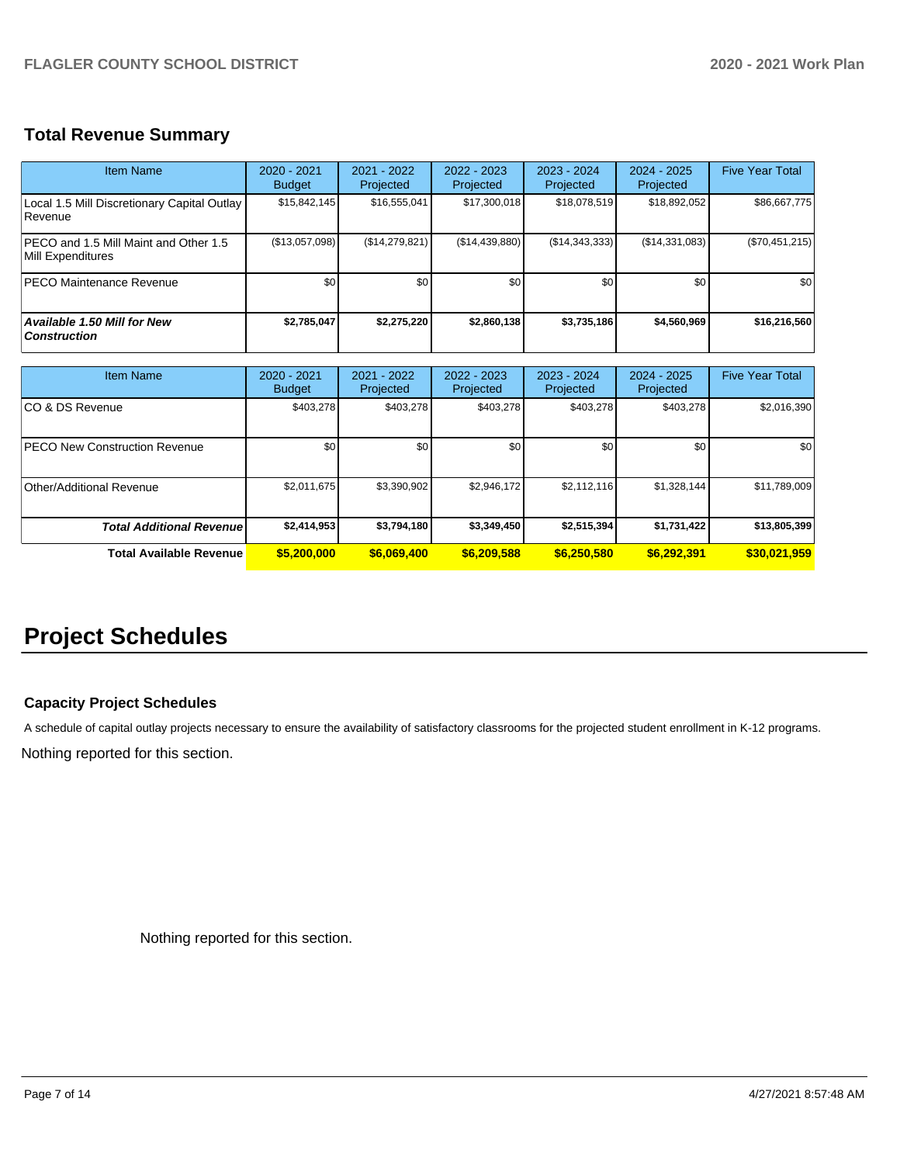# **Total Revenue Summary**

| Item Name                                                  | $2020 - 2021$<br><b>Budget</b> | 2021 - 2022<br>Projected | $2022 - 2023$<br>Projected | $2023 - 2024$<br>Projected | $2024 - 2025$<br>Projected | <b>Five Year Total</b> |
|------------------------------------------------------------|--------------------------------|--------------------------|----------------------------|----------------------------|----------------------------|------------------------|
| Local 1.5 Mill Discretionary Capital Outlay<br>l Revenue   | \$15,842,145                   | \$16,555,041             | \$17,300,018               | \$18,078,519               | \$18,892,052               | \$86,667,775           |
| PECO and 1.5 Mill Maint and Other 1.5<br>Mill Expenditures | (\$13,057,098)                 | (\$14,279,821)           | (S14, 439, 880)            | (S14, 343, 333)            | (S14, 331, 083)            | (\$70,451,215)         |
| <b>PECO Maintenance Revenue</b>                            | \$0 <sub>1</sub>               | \$0 <sub>1</sub>         | \$0                        | \$0                        | \$0                        | \$0                    |
| Available 1.50 Mill for New<br><b>Construction</b>         | \$2,785,047                    | \$2,275,220              | \$2,860,138                | \$3,735,186                | \$4,560,969                | \$16,216,560           |

| <b>Item Name</b>                     | 2020 - 2021<br><b>Budget</b> | $2021 - 2022$<br>Projected | 2022 - 2023<br>Projected | 2023 - 2024<br>Projected | 2024 - 2025<br>Projected | <b>Five Year Total</b> |
|--------------------------------------|------------------------------|----------------------------|--------------------------|--------------------------|--------------------------|------------------------|
| ICO & DS Revenue                     | \$403,278                    | \$403,278                  | \$403,278                | \$403,278                | \$403,278                | \$2,016,390            |
| <b>PECO New Construction Revenue</b> | \$0                          | \$0                        | \$0                      | \$0                      | \$0                      | \$0                    |
| Other/Additional Revenue             | \$2,011,675                  | \$3,390,902                | \$2,946,172              | \$2,112,116              | \$1,328,144              | \$11,789,009           |
| <b>Total Additional Revenuel</b>     | \$2,414,953                  | \$3,794,180                | \$3,349,450              | \$2,515,394              | \$1,731,422              | \$13,805,399           |
| <b>Total Available Revenue</b>       | \$5,200,000                  | \$6,069,400                | \$6,209,588              | \$6,250,580              | \$6,292,391              | \$30,021,959           |

# **Project Schedules**

## **Capacity Project Schedules**

A schedule of capital outlay projects necessary to ensure the availability of satisfactory classrooms for the projected student enrollment in K-12 programs.

Nothing reported for this section.

Nothing reported for this section.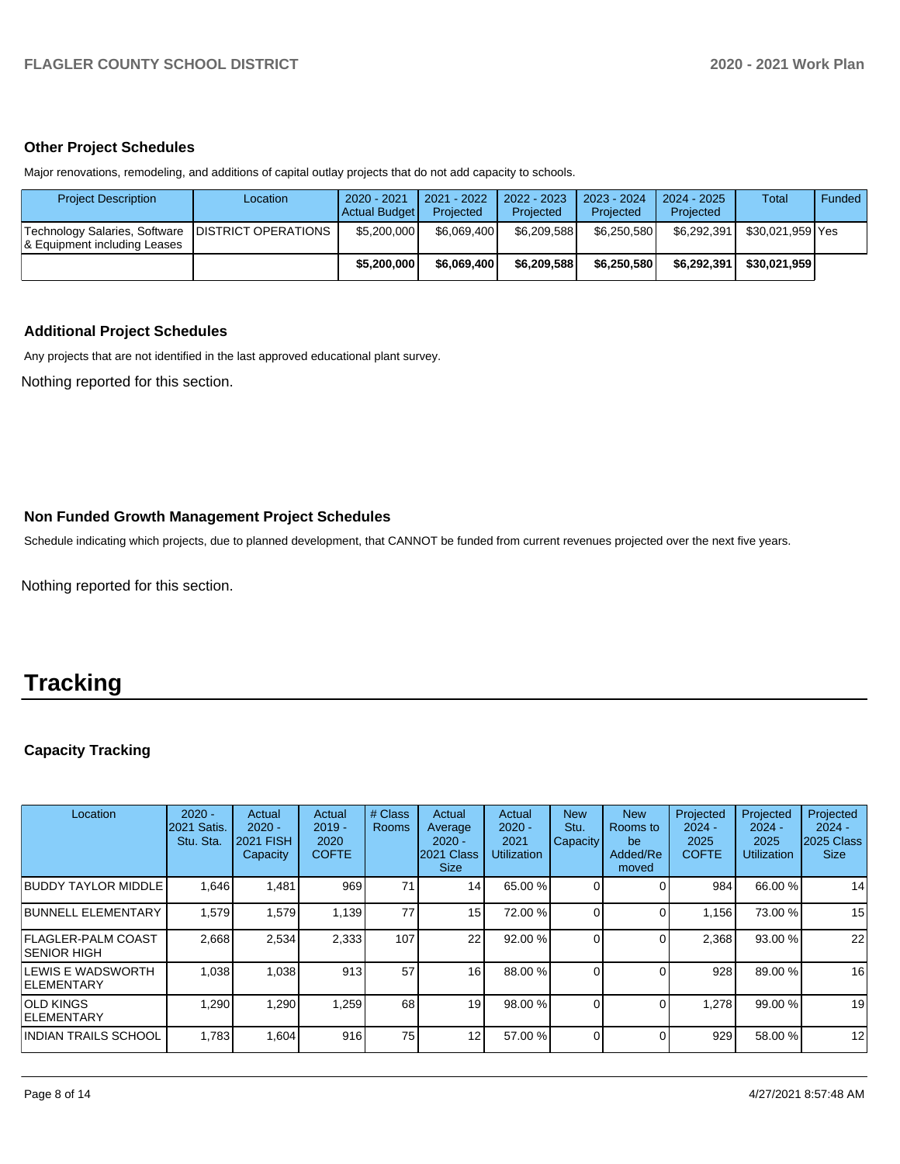#### **Other Project Schedules**

Major renovations, remodeling, and additions of capital outlay projects that do not add capacity to schools.

| <b>Project Description</b>                                                          | Location | 2020 - 2021<br>Actual Budget | 2021 - 2022<br>Projected | 2022 - 2023<br>Projected | 2023 - 2024<br>Projected | $2024 - 2025$<br>Projected | <b>Total</b>     | <b>Funded</b> |
|-------------------------------------------------------------------------------------|----------|------------------------------|--------------------------|--------------------------|--------------------------|----------------------------|------------------|---------------|
| Technology Salaries, Software   DISTRICT OPERATIONS<br>& Equipment including Leases |          | \$5.200.000                  | \$6.069.400              | \$6.209.588              | \$6.250.580              | \$6.292.391                | \$30.021.959 Yes |               |
|                                                                                     |          | \$5,200,000                  | \$6.069.400              | \$6,209,588              | \$6.250.580              | \$6.292.391                | \$30,021,959     |               |

## **Additional Project Schedules**

Any projects that are not identified in the last approved educational plant survey.

Nothing reported for this section.

### **Non Funded Growth Management Project Schedules**

Schedule indicating which projects, due to planned development, that CANNOT be funded from current revenues projected over the next five years.

Nothing reported for this section.

# **Tracking**

## **Capacity Tracking**

| Location                                 | $2020 -$<br>2021 Satis.<br>Stu. Sta. | Actual<br>$2020 -$<br><b>2021 FISH</b><br>Capacity | Actual<br>$2019 -$<br>2020<br><b>COFTE</b> | # Class<br><b>Rooms</b> | Actual<br>Average<br>$2020 -$<br>2021 Class<br><b>Size</b> | Actual<br>$2020 -$<br>2021<br><b>Utilization</b> | <b>New</b><br>Stu.<br>Capacity | <b>New</b><br>Rooms to<br>be<br>Added/Re<br>moved | Projected<br>$2024 -$<br>2025<br><b>COFTE</b> | Projected<br>$2024 -$<br>2025<br><b>Utilization</b> | Projected<br>$2024 -$<br>2025 Class<br><b>Size</b> |
|------------------------------------------|--------------------------------------|----------------------------------------------------|--------------------------------------------|-------------------------|------------------------------------------------------------|--------------------------------------------------|--------------------------------|---------------------------------------------------|-----------------------------------------------|-----------------------------------------------------|----------------------------------------------------|
| BUDDY TAYLOR MIDDLE                      | 1,646                                | 1,481                                              | 969                                        | 71                      | 14                                                         | 65.00 %                                          |                                |                                                   | 984                                           | 66.00 %                                             | 14                                                 |
| BUNNELL ELEMENTARY                       | 1,579                                | 1,579                                              | 1,139                                      | 77                      | 15                                                         | 72.00 %                                          |                                |                                                   | 1.156                                         | 73.00 %                                             | 15                                                 |
| FLAGLER-PALM COAST<br>ISENIOR HIGH       | 2,668                                | 2,534                                              | 2,333                                      | 107                     | 22                                                         | 92.00 %                                          |                                | $\Omega$                                          | 2,368                                         | 93.00 %                                             | 22                                                 |
| ILEWIS E WADSWORTH<br><b> ELEMENTARY</b> | 1.038                                | 1,038                                              | 913                                        | 57                      | 16                                                         | 88.00 %                                          |                                | $\Omega$                                          | 928                                           | 89.00 %                                             | 16                                                 |
| IOLD KINGS<br><b>IELEMENTARY</b>         | 1,290                                | 1,290                                              | 1,259                                      | 68                      | 19                                                         | 98.00 %                                          |                                | $\Omega$                                          | 1,278                                         | 99.00 %                                             | 19                                                 |
| IINDIAN TRAILS SCHOOL                    | 1.783                                | 1,604                                              | 916                                        | 75                      | 12                                                         | 57.00 %                                          |                                | $\Omega$                                          | 929                                           | 58.00 %                                             | $12 \overline{ }$                                  |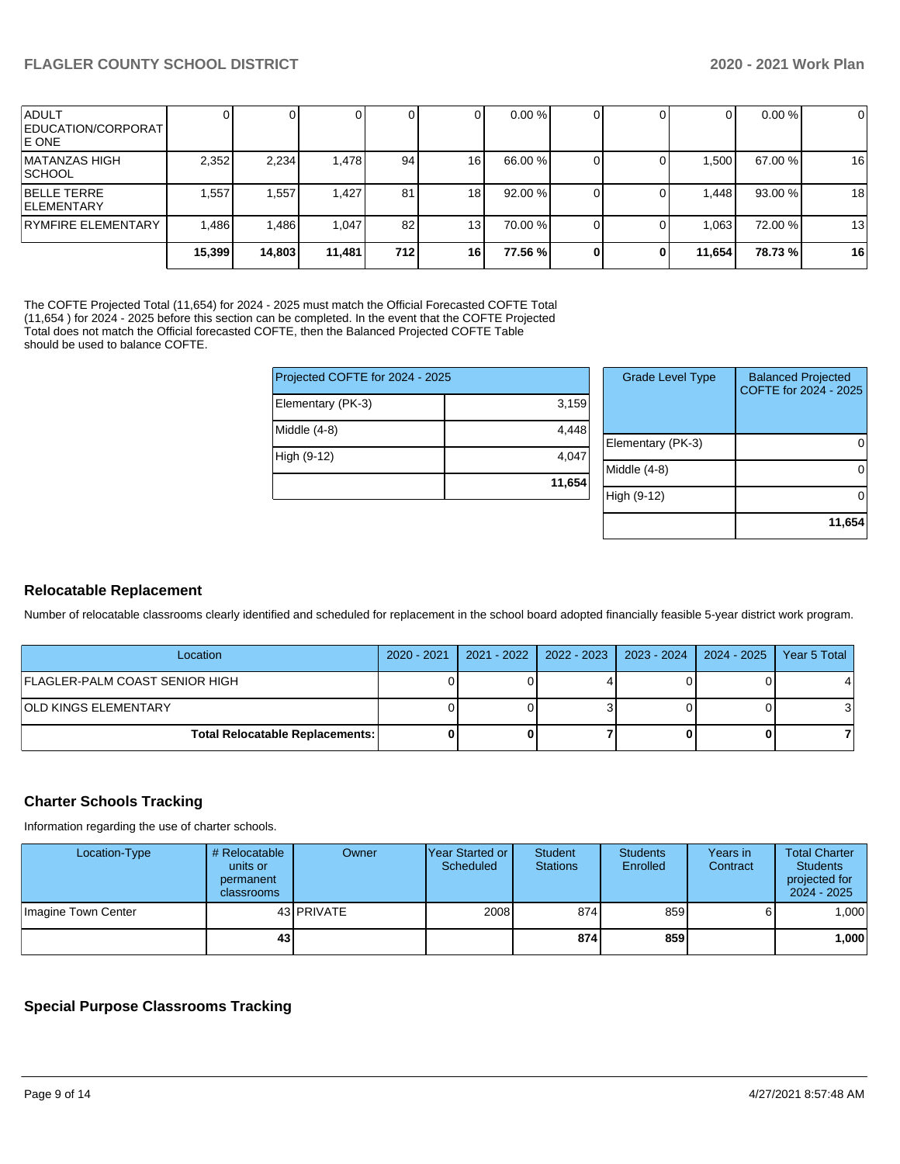## **FLAGLER COUNTY SCHOOL DISTRICT 2020 - 2021 Work Plan**

| <b>ADULT</b><br> EDUCATION/CORPORAT <br>IE ONE |        |        |        |     |                 | $0.00\%$ |  | ΟI     | $0.00 \%$ | 0  |
|------------------------------------------------|--------|--------|--------|-----|-----------------|----------|--|--------|-----------|----|
| IMATANZAS HIGH<br> SCHOOL                      | 2,352  | 2,234  | 1,478  | 94  | 16 <sub>l</sub> | 66.00 %  |  | .500   | 67.00 %   | 16 |
| <b>BELLE TERRE</b><br><b>IELEMENTARY</b>       | 1,557  | 1,557  | 1,427  | 81  | 18 I            | 92.00 %  |  | .448   | 93.00 %   | 18 |
| RYMFIRE ELEMENTARY                             | 1,486  | .486   | 1,047  | 82  | 13 <sub>l</sub> | 70.00 %  |  | 063    | 72.00 %   | 13 |
|                                                | 15,399 | 14,803 | 11.481 | 712 | <b>16</b>       | 77.56 %  |  | 11,654 | 78.73%    | 16 |

The COFTE Projected Total (11,654) for 2024 - 2025 must match the Official Forecasted COFTE Total (11,654 ) for 2024 - 2025 before this section can be completed. In the event that the COFTE Projected Total does not match the Official forecasted COFTE, then the Balanced Projected COFTE Table should be used to balance COFTE.

| Projected COFTE for 2024 - 2025 |  |  |  |  |  |  |
|---------------------------------|--|--|--|--|--|--|
| 3,159                           |  |  |  |  |  |  |
| 4,448                           |  |  |  |  |  |  |
| 4.047                           |  |  |  |  |  |  |
| 11,654                          |  |  |  |  |  |  |
|                                 |  |  |  |  |  |  |

| <b>Grade Level Type</b> | <b>Balanced Projected</b><br>COFTE for 2024 - 2025 |
|-------------------------|----------------------------------------------------|
| Elementary (PK-3)       |                                                    |
| Middle $(4-8)$          |                                                    |
| High (9-12)             |                                                    |
|                         | 11,654                                             |

#### **Relocatable Replacement**

Number of relocatable classrooms clearly identified and scheduled for replacement in the school board adopted financially feasible 5-year district work program.

| Location                                 | 2020 - 2021 |  | 2021 - 2022   2022 - 2023   2023 - 2024   2024 - 2025 | Year 5 Total |
|------------------------------------------|-------------|--|-------------------------------------------------------|--------------|
| FLAGLER-PALM COAST SENIOR HIGH           |             |  |                                                       |              |
| IOLD KINGS ELEMENTARY                    |             |  |                                                       |              |
| <b>Total Relocatable Replacements: I</b> |             |  |                                                       |              |

## **Charter Schools Tracking**

Information regarding the use of charter schools.

| Location-Type       | # Relocatable<br>units or<br>permanent<br><b>classrooms</b> | Owner             | Year Started or<br>Scheduled | <b>Student</b><br><b>Stations</b> | <b>Students</b><br>Enrolled | Years in<br>Contract | <b>Total Charter</b><br><b>Students</b><br>projected for<br>2024 - 2025 |
|---------------------|-------------------------------------------------------------|-------------------|------------------------------|-----------------------------------|-----------------------------|----------------------|-------------------------------------------------------------------------|
| Imagine Town Center |                                                             | 43 <b>PRIVATE</b> | 2008                         | 874                               | 859                         |                      | ا 1.000                                                                 |
|                     | 43                                                          |                   |                              | 874                               | 859                         |                      | 1,000                                                                   |

#### **Special Purpose Classrooms Tracking**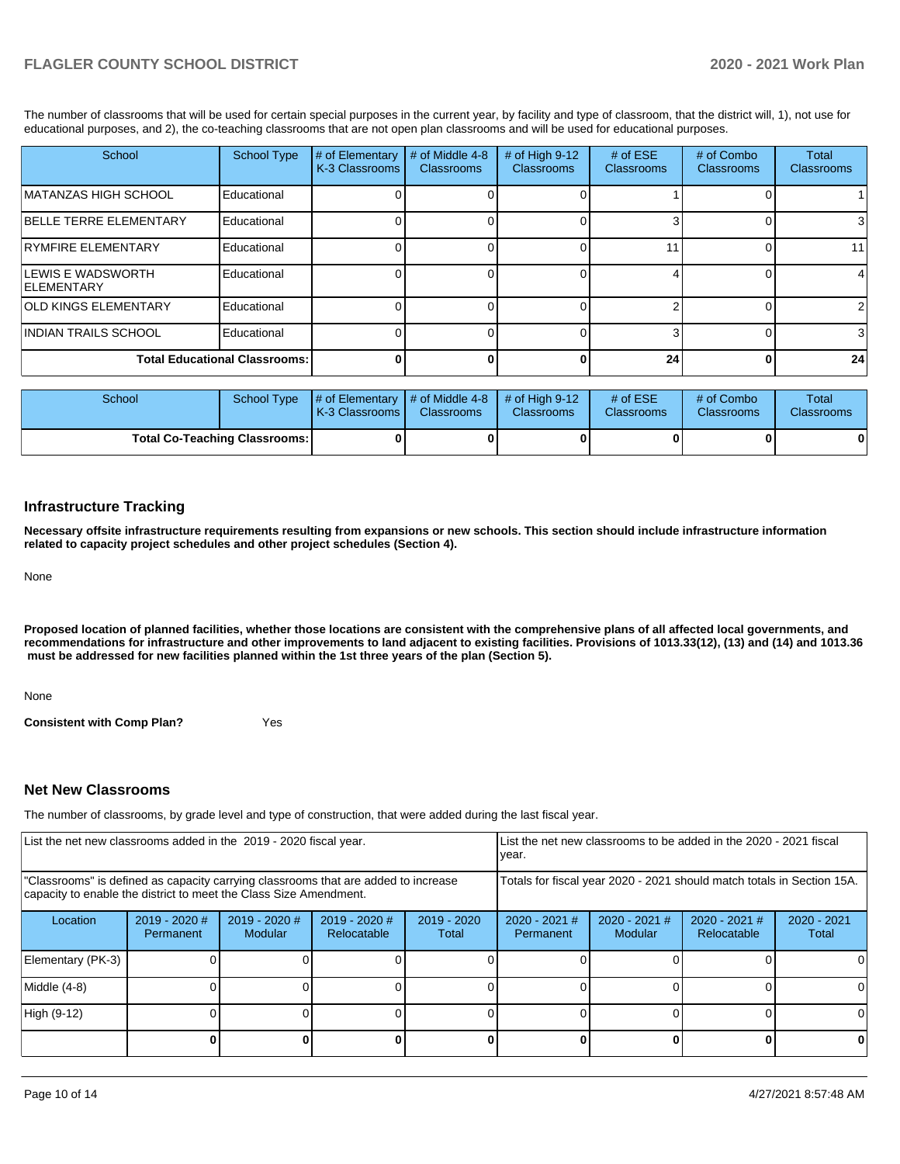# **FLAGLER COUNTY SCHOOL DISTRICT 2020 - 2021 Work Plan**

The number of classrooms that will be used for certain special purposes in the current year, by facility and type of classroom, that the district will, 1), not use for educational purposes, and 2), the co-teaching classrooms that are not open plan classrooms and will be used for educational purposes.

| School                                          | <b>School Type</b> | # of Elementary<br>K-3 Classrooms | # of Middle 4-8<br><b>Classrooms</b> | $#$ of High 9-12<br>Classrooms | # of $ESE$<br>Classrooms | # of Combo<br>Classrooms | Total<br><b>Classrooms</b> |
|-------------------------------------------------|--------------------|-----------------------------------|--------------------------------------|--------------------------------|--------------------------|--------------------------|----------------------------|
| IMATANZAS HIGH SCHOOL                           | Educational        |                                   |                                      |                                |                          |                          |                            |
| <b>BELLE TERRE ELEMENTARY</b>                   | Educational        |                                   |                                      |                                |                          |                          | 3                          |
| RYMFIRE ELEMENTARY                              | Educational        |                                   |                                      |                                |                          |                          | 11                         |
| <b>ILEWIS E WADSWORTH</b><br><b>IELEMENTARY</b> | Educational        |                                   |                                      |                                |                          |                          | 4                          |
| <b>OLD KINGS ELEMENTARY</b>                     | Educational        |                                   |                                      |                                |                          |                          |                            |
| IINDIAN TRAILS SCHOOL                           | Educational        |                                   |                                      |                                |                          |                          | 3                          |
| <b>Total Educational Classrooms:</b>            |                    |                                   |                                      | n                              | 24                       |                          | 24                         |

| School                               |  | School Type $\#$ of Elementary $\#$ of Middle 4-8 $\#$ of High 9-12<br><b>K-3 Classrooms I</b> | <b>Classrooms</b> | <b>Classrooms</b> | # of $ESE$<br><b>Classrooms</b> | # of Combo<br><b>Classrooms</b> | Total<br><b>Classrooms</b> |
|--------------------------------------|--|------------------------------------------------------------------------------------------------|-------------------|-------------------|---------------------------------|---------------------------------|----------------------------|
| <b>Total Co-Teaching Classrooms:</b> |  |                                                                                                |                   |                   |                                 | 0                               | 0                          |

#### **Infrastructure Tracking**

**Necessary offsite infrastructure requirements resulting from expansions or new schools. This section should include infrastructure information related to capacity project schedules and other project schedules (Section 4).** 

None

**Proposed location of planned facilities, whether those locations are consistent with the comprehensive plans of all affected local governments, and recommendations for infrastructure and other improvements to land adjacent to existing facilities. Provisions of 1013.33(12), (13) and (14) and 1013.36** must be addressed for new facilities planned within the 1st three years of the plan (Section 5).

None

**Consistent with Comp Plan?** Yes

#### **Net New Classrooms**

The number of classrooms, by grade level and type of construction, that were added during the last fiscal year.

| List the net new classrooms added in the 2019 - 2020 fiscal year.                                                                                       | List the net new classrooms to be added in the 2020 - 2021 fiscal<br>year. |                                 |                                |                        |                              |                                   |                                |                        |
|---------------------------------------------------------------------------------------------------------------------------------------------------------|----------------------------------------------------------------------------|---------------------------------|--------------------------------|------------------------|------------------------------|-----------------------------------|--------------------------------|------------------------|
| "Classrooms" is defined as capacity carrying classrooms that are added to increase<br>capacity to enable the district to meet the Class Size Amendment. | Totals for fiscal year 2020 - 2021 should match totals in Section 15A.     |                                 |                                |                        |                              |                                   |                                |                        |
| Location                                                                                                                                                | $2019 - 2020$ #<br>Permanent                                               | 2019 - 2020 #<br><b>Modular</b> | $2019 - 2020$ #<br>Relocatable | $2019 - 2020$<br>Total | $2020 - 2021$ #<br>Permanent | $2020 - 2021$ #<br><b>Modular</b> | $2020 - 2021$ #<br>Relocatable | $2020 - 2021$<br>Total |
| Elementary (PK-3)                                                                                                                                       |                                                                            |                                 |                                |                        |                              |                                   |                                |                        |
| Middle (4-8)                                                                                                                                            |                                                                            |                                 |                                |                        |                              |                                   |                                | 0                      |
| High (9-12)                                                                                                                                             |                                                                            |                                 |                                |                        |                              |                                   |                                | $\Omega$               |
|                                                                                                                                                         |                                                                            |                                 |                                |                        |                              |                                   |                                | 0                      |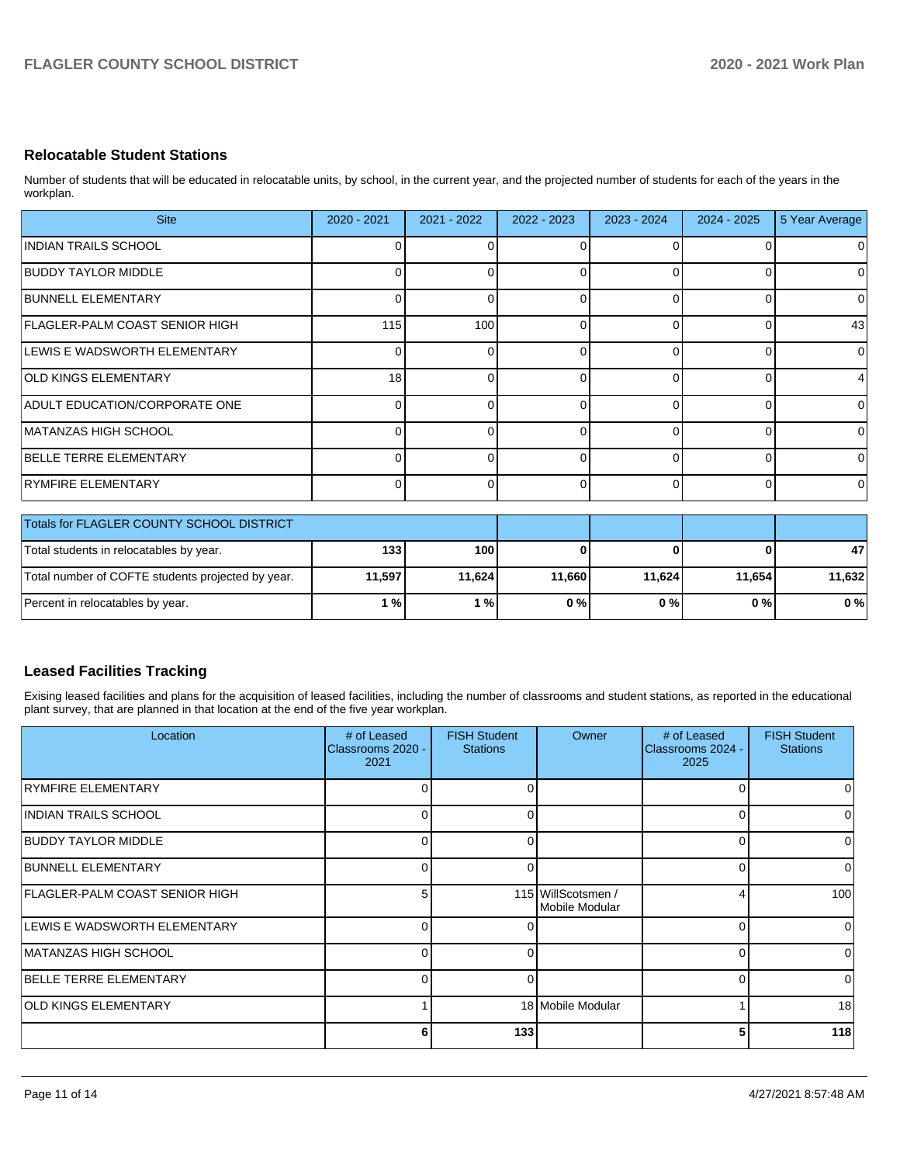# **Relocatable Student Stations**

Number of students that will be educated in relocatable units, by school, in the current year, and the projected number of students for each of the years in the workplan.

| <b>Site</b>                           | $2020 - 2021$ | 2021 - 2022 | 2022 - 2023  | $2023 - 2024$ | $2024 - 2025$ | 5 Year Average |
|---------------------------------------|---------------|-------------|--------------|---------------|---------------|----------------|
| IINDIAN TRAILS SCHOOL                 |               |             |              |               |               | 0              |
| <b>BUDDY TAYLOR MIDDLE</b>            |               |             |              |               | 0             | $\Omega$       |
| <b>BUNNELL ELEMENTARY</b>             |               |             |              |               | 0             | $\Omega$       |
| <b>FLAGLER-PALM COAST SENIOR HIGH</b> | 115           | 100         | 0            |               | 0             | 43             |
| LEWIS E WADSWORTH ELEMENTARY          |               |             | 0            | $\Omega$      | $\Omega$      | $\Omega$       |
| <b>OLD KINGS ELEMENTARY</b>           | 18            |             |              |               | 0             |                |
| ADULT EDUCATION/CORPORATE ONE         |               |             | ∩            |               | 0             | $\Omega$       |
| MATANZAS HIGH SCHOOL                  |               |             | $\Omega$     |               | $\Omega$      | $\overline{0}$ |
| <b>BELLE TERRE ELEMENTARY</b>         |               |             | <sup>0</sup> | $\Omega$      | 0             | $\overline{0}$ |
| <b>RYMFIRE ELEMENTARY</b>             |               |             | <sup>0</sup> |               | $\Omega$      | $\Omega$       |

| <b>Totals for FLAGLER COUNTY SCHOOL DISTRICT</b>  |        |        |        |        |        |        |
|---------------------------------------------------|--------|--------|--------|--------|--------|--------|
| Total students in relocatables by year.           | 1331   | 100    |        |        |        | 471    |
| Total number of COFTE students projected by year. | 11.597 | 11.624 | 11.660 | 11.624 | 11.654 | 11.632 |
| Percent in relocatables by year.                  | 1 % l  | %      | 0%     | 0%     | 0%     | 0%     |

## **Leased Facilities Tracking**

Exising leased facilities and plans for the acquisition of leased facilities, including the number of classrooms and student stations, as reported in the educational plant survey, that are planned in that location at the end of the five year workplan.

| Location                       | # of Leased<br>Classrooms 2020 -<br>2021 | <b>FISH Student</b><br><b>Stations</b> | Owner                                | # of Leased<br>Classrooms 2024 -<br>2025 | <b>FISH Student</b><br><b>Stations</b> |
|--------------------------------|------------------------------------------|----------------------------------------|--------------------------------------|------------------------------------------|----------------------------------------|
| RYMFIRE ELEMENTARY             | 0                                        | 0                                      |                                      | 0                                        | <sup>0</sup>                           |
| IINDIAN TRAILS SCHOOL          | <sup>0</sup>                             | 0                                      |                                      | $\Omega$                                 | <sup>0</sup>                           |
| BUDDY TAYLOR MIDDLE            | 0                                        | 0                                      |                                      | $\Omega$                                 | $\Omega$                               |
| <b>BUNNELL ELEMENTARY</b>      | 0                                        | 0                                      |                                      | 0                                        | $\Omega$                               |
| FLAGLER-PALM COAST SENIOR HIGH | 5                                        |                                        | 115 WillScotsmen /<br>Mobile Modular | 4                                        | 100                                    |
| LEWIS E WADSWORTH ELEMENTARY   |                                          |                                        |                                      | $\Omega$                                 | <sup>o</sup>                           |
| MATANZAS HIGH SCHOOL           |                                          | $\Omega$                               |                                      | $\Omega$                                 | ∩                                      |
| BELLE TERRE ELEMENTARY         |                                          | <sup>0</sup>                           |                                      | $\Omega$                                 | ∩                                      |
| <b>OLD KINGS ELEMENTARY</b>    |                                          |                                        | 18 Mobile Modular                    |                                          | 18                                     |
|                                | 6                                        | 133                                    |                                      | 5                                        | 118                                    |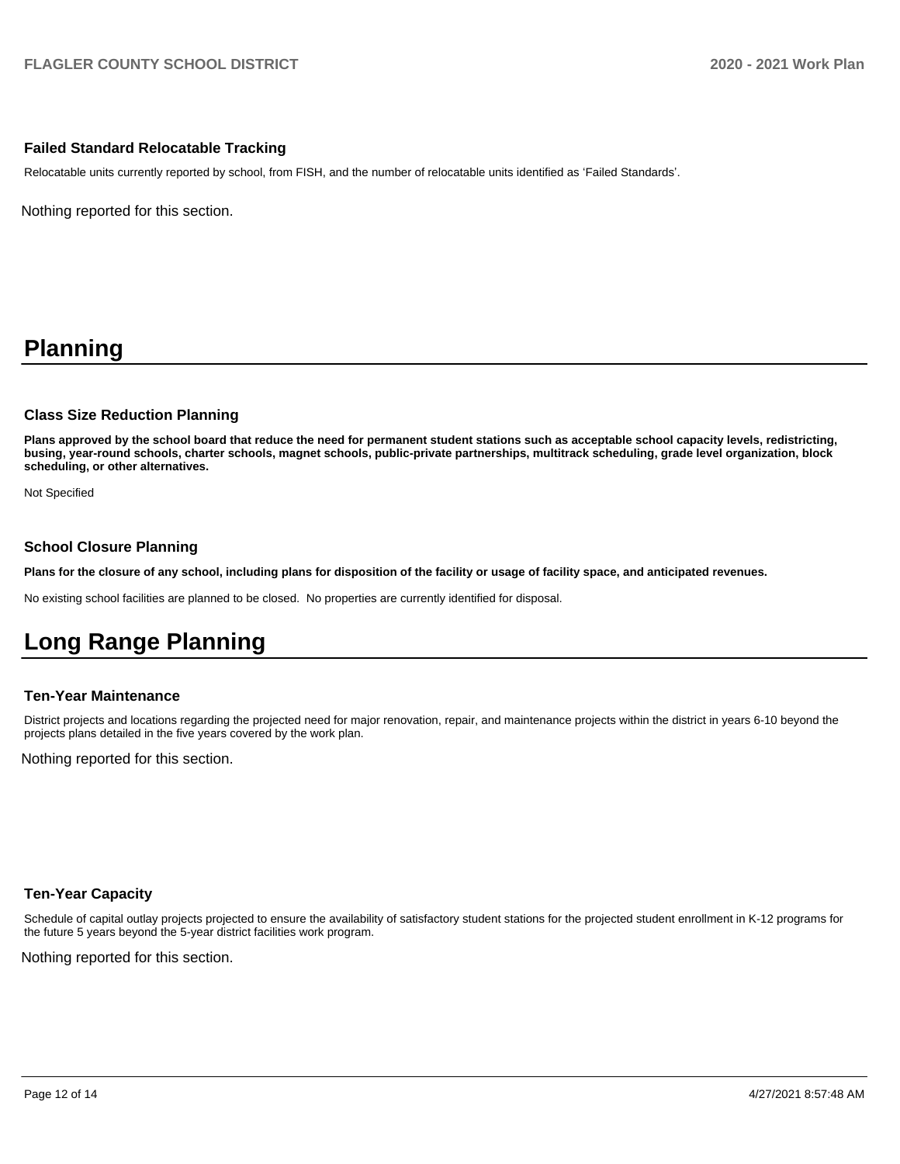#### **Failed Standard Relocatable Tracking**

Relocatable units currently reported by school, from FISH, and the number of relocatable units identified as 'Failed Standards'.

Nothing reported for this section.

# **Planning**

#### **Class Size Reduction Planning**

**Plans approved by the school board that reduce the need for permanent student stations such as acceptable school capacity levels, redistricting, busing, year-round schools, charter schools, magnet schools, public-private partnerships, multitrack scheduling, grade level organization, block scheduling, or other alternatives.**

Not Specified

#### **School Closure Planning**

**Plans for the closure of any school, including plans for disposition of the facility or usage of facility space, and anticipated revenues.** 

No existing school facilities are planned to be closed. No properties are currently identified for disposal.

# **Long Range Planning**

#### **Ten-Year Maintenance**

District projects and locations regarding the projected need for major renovation, repair, and maintenance projects within the district in years 6-10 beyond the projects plans detailed in the five years covered by the work plan.

Nothing reported for this section.

#### **Ten-Year Capacity**

Schedule of capital outlay projects projected to ensure the availability of satisfactory student stations for the projected student enrollment in K-12 programs for the future 5 years beyond the 5-year district facilities work program.

Nothing reported for this section.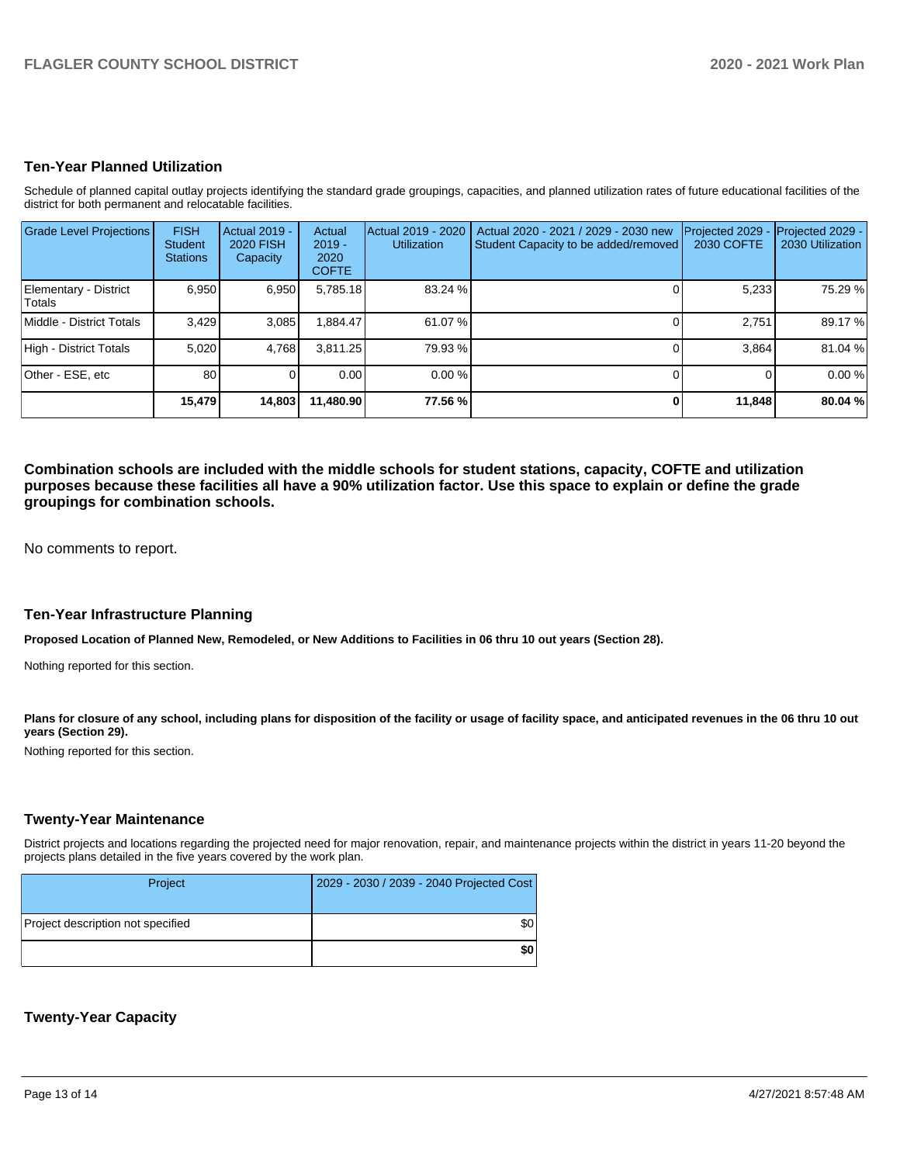### **Ten-Year Planned Utilization**

Schedule of planned capital outlay projects identifying the standard grade groupings, capacities, and planned utilization rates of future educational facilities of the district for both permanent and relocatable facilities.

| <b>Grade Level Projections</b>  | <b>FISH</b><br><b>Student</b><br><b>Stations</b> | <b>Actual 2019 -</b><br><b>2020 FISH</b><br>Capacity | Actual<br>$2019 -$<br>2020<br><b>COFTE</b> | Actual 2019 - 2020<br><b>Utilization</b> | Actual 2020 - 2021 / 2029 - 2030 new<br>Student Capacity to be added/removed | Projected 2029<br>2030 COFTE | Projected 2029 -<br>2030 Utilization |
|---------------------------------|--------------------------------------------------|------------------------------------------------------|--------------------------------------------|------------------------------------------|------------------------------------------------------------------------------|------------------------------|--------------------------------------|
| Elementary - District<br>Totals | 6,950                                            | 6,950                                                | 5,785.18                                   | 83.24 %                                  |                                                                              | 5,233                        | 75.29 %                              |
| Middle - District Totals        | 3.429                                            | 3,085                                                | .884.47                                    | 61.07 %                                  |                                                                              | 2.751                        | 89.17 %                              |
| High - District Totals          | 5.020                                            | 4,768                                                | 3.811.25                                   | 79.93 %                                  |                                                                              | 3.864                        | 81.04%                               |
| Other - ESE, etc                | 80                                               |                                                      | 0.00                                       | 0.00%                                    |                                                                              |                              | 0.00 %                               |
|                                 | 15,479                                           | 14,803                                               | 11,480.90                                  | 77.56 %                                  |                                                                              | 11,848                       | 80.04%                               |

**Combination schools are included with the middle schools for student stations, capacity, COFTE and utilization purposes because these facilities all have a 90% utilization factor. Use this space to explain or define the grade groupings for combination schools.** 

No comments to report.

#### **Ten-Year Infrastructure Planning**

**Proposed Location of Planned New, Remodeled, or New Additions to Facilities in 06 thru 10 out years (Section 28).**

Nothing reported for this section.

Plans for closure of any school, including plans for disposition of the facility or usage of facility space, and anticipated revenues in the 06 thru 10 out **years (Section 29).**

Nothing reported for this section.

#### **Twenty-Year Maintenance**

District projects and locations regarding the projected need for major renovation, repair, and maintenance projects within the district in years 11-20 beyond the projects plans detailed in the five years covered by the work plan.

| Project                           | 2029 - 2030 / 2039 - 2040 Projected Cost |
|-----------------------------------|------------------------------------------|
| Project description not specified | \$0                                      |
|                                   | \$0                                      |

### **Twenty-Year Capacity**